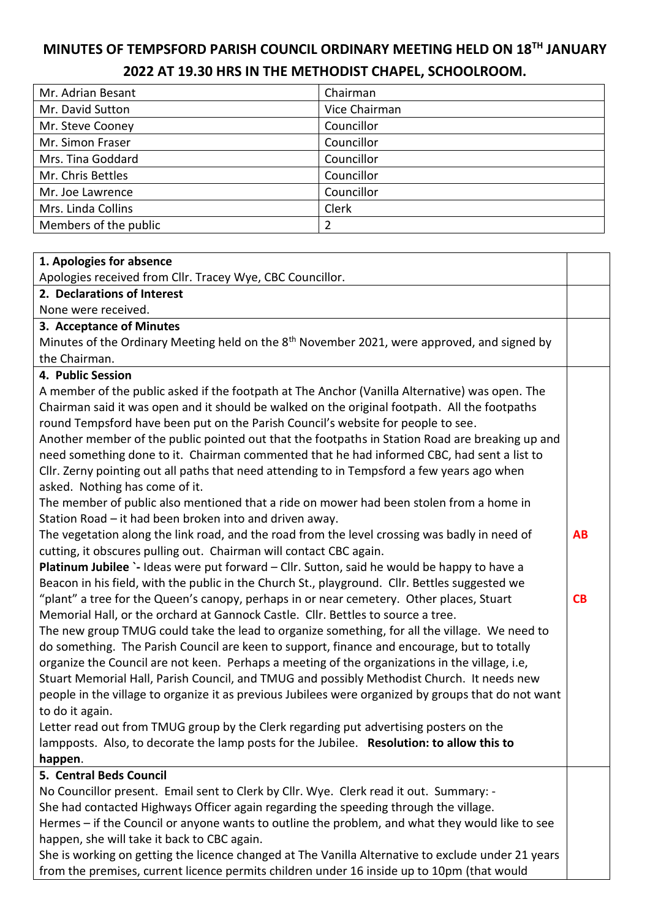# **MINUTES OF TEMPSFORD PARISH COUNCIL ORDINARY MEETING HELD ON 18TH JANUARY 2022 AT 19.30 HRS IN THE METHODIST CHAPEL, SCHOOLROOM.**

| Mr. Adrian Besant     | Chairman      |
|-----------------------|---------------|
| Mr. David Sutton      | Vice Chairman |
| Mr. Steve Cooney      | Councillor    |
| Mr. Simon Fraser      | Councillor    |
| Mrs. Tina Goddard     | Councillor    |
| Mr. Chris Bettles     | Councillor    |
| Mr. Joe Lawrence      | Councillor    |
| Mrs. Linda Collins    | Clerk         |
| Members of the public | 2             |

#### **1. Apologies for absence**

Apologies received from Cllr. Tracey Wye, CBC Councillor.

## **2. Declarations of Interest**

None were received.

#### **3. Acceptance of Minutes**

Minutes of the Ordinary Meeting held on the 8<sup>th</sup> November 2021, were approved, and signed by the Chairman.

#### **4. Public Session**

A member of the public asked if the footpath at The Anchor (Vanilla Alternative) was open. The Chairman said it was open and it should be walked on the original footpath. All the footpaths round Tempsford have been put on the Parish Council's website for people to see.

Another member of the public pointed out that the footpaths in Station Road are breaking up and need something done to it. Chairman commented that he had informed CBC, had sent a list to Cllr. Zerny pointing out all paths that need attending to in Tempsford a few years ago when asked. Nothing has come of it.

The member of public also mentioned that a ride on mower had been stolen from a home in Station Road – it had been broken into and driven away.

The vegetation along the link road, and the road from the level crossing was badly in need of cutting, it obscures pulling out. Chairman will contact CBC again. **AB**

**CB** 

**Platinum Jubilee** `- Ideas were put forward – Cllr. Sutton, said he would be happy to have a Beacon in his field, with the public in the Church St., playground. Cllr. Bettles suggested we "plant" a tree for the Queen's canopy, perhaps in or near cemetery. Other places, Stuart Memorial Hall, or the orchard at Gannock Castle. Cllr. Bettles to source a tree.

The new group TMUG could take the lead to organize something, for all the village. We need to do something. The Parish Council are keen to support, finance and encourage, but to totally organize the Council are not keen. Perhaps a meeting of the organizations in the village, i.e, Stuart Memorial Hall, Parish Council, and TMUG and possibly Methodist Church. It needs new people in the village to organize it as previous Jubilees were organized by groups that do not want to do it again.

Letter read out from TMUG group by the Clerk regarding put advertising posters on the lampposts. Also, to decorate the lamp posts for the Jubilee. **Resolution: to allow this to happen**.

## **5. Central Beds Council**

No Councillor present. Email sent to Clerk by Cllr. Wye. Clerk read it out. Summary: - She had contacted Highways Officer again regarding the speeding through the village. Hermes – if the Council or anyone wants to outline the problem, and what they would like to see happen, she will take it back to CBC again.

She is working on getting the licence changed at The Vanilla Alternative to exclude under 21 years from the premises, current licence permits children under 16 inside up to 10pm (that would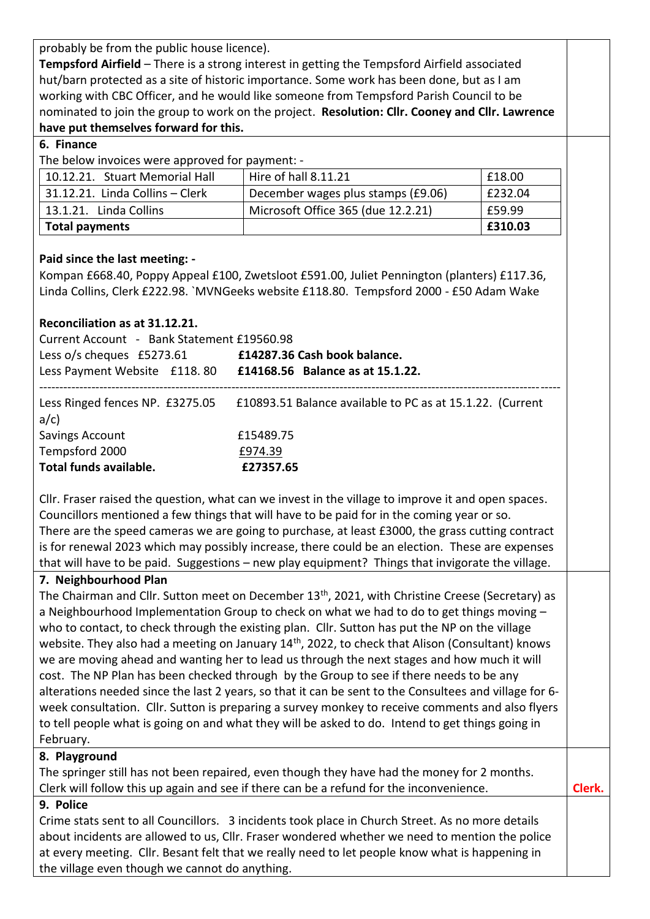probably be from the public house licence).

**Tempsford Airfield** – There is a strong interest in getting the Tempsford Airfield associated hut/barn protected as a site of historic importance. Some work has been done, but as I am working with CBC Officer, and he would like someone from Tempsford Parish Council to be nominated to join the group to work on the project. **Resolution: Cllr. Cooney and Cllr. Lawrence have put themselves forward for this.**

## **6. Finance**

The below invoices were approved for payment: -

| 10.12.21. Stuart Memorial Hall  | Hire of hall 8.11.21               | £18.00  |
|---------------------------------|------------------------------------|---------|
| 31.12.21. Linda Collins - Clerk | December wages plus stamps (£9.06) | £232.04 |
| 13.1.21. Linda Collins          | Microsoft Office 365 (due 12.2.21) | £59.99  |
| Total payments                  |                                    | £310.03 |

# **Paid since the last meeting: -**

Kompan £668.40, Poppy Appeal £100, Zwetsloot £591.00, Juliet Pennington (planters) £117.36, Linda Collins, Clerk £222.98. `MVNGeeks website £118.80. Tempsford 2000 - £50 Adam Wake

# **Reconciliation as at 31.12.21.**

| Current Account - Bank Statement £19560.98                    |                                                           |  |  |
|---------------------------------------------------------------|-----------------------------------------------------------|--|--|
| Less o/s cheques £5273.61                                     | £14287.36 Cash book balance.                              |  |  |
| Less Payment Website £118.80 £14168.56 Balance as at 15.1.22. |                                                           |  |  |
| Less Ringed fences NP. £3275.05<br>$a/c$ )                    | £10893.51 Balance available to PC as at 15.1.22. (Current |  |  |
| Savings Account                                               | £15489.75                                                 |  |  |
| Tempsford 2000                                                | £974.39                                                   |  |  |
| Total funds available.                                        | £27357.65                                                 |  |  |

Cllr. Fraser raised the question, what can we invest in the village to improve it and open spaces. Councillors mentioned a few things that will have to be paid for in the coming year or so. There are the speed cameras we are going to purchase, at least £3000, the grass cutting contract is for renewal 2023 which may possibly increase, there could be an election. These are expenses that will have to be paid. Suggestions – new play equipment? Things that invigorate the village.

# **7. Neighbourhood Plan**

The Chairman and Cllr. Sutton meet on December 13<sup>th</sup>, 2021, with Christine Creese (Secretary) as a Neighbourhood Implementation Group to check on what we had to do to get things moving – who to contact, to check through the existing plan. Cllr. Sutton has put the NP on the village website. They also had a meeting on January 14<sup>th</sup>, 2022, to check that Alison (Consultant) knows we are moving ahead and wanting her to lead us through the next stages and how much it will cost. The NP Plan has been checked through by the Group to see if there needs to be any alterations needed since the last 2 years, so that it can be sent to the Consultees and village for 6 week consultation. Cllr. Sutton is preparing a survey monkey to receive comments and also flyers to tell people what is going on and what they will be asked to do. Intend to get things going in February.

# **8. Playground**

The springer still has not been repaired, even though they have had the money for 2 months. Clerk will follow this up again and see if there can be a refund for the inconvenience. **Clerk.** 

## **9. Police**

Crime stats sent to all Councillors. 3 incidents took place in Church Street. As no more details about incidents are allowed to us, Cllr. Fraser wondered whether we need to mention the police at every meeting. Cllr. Besant felt that we really need to let people know what is happening in the village even though we cannot do anything.